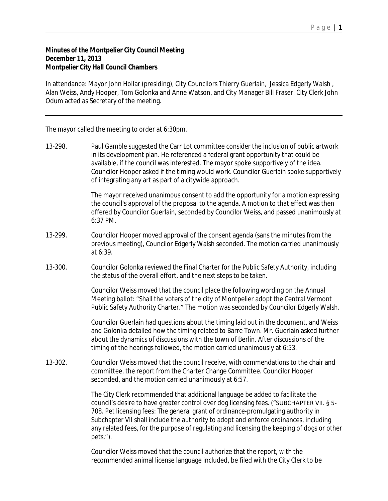## P a g e | **1**

## **Minutes of the Montpelier City Council Meeting December 11, 2013 Montpelier City Hall Council Chambers**

In attendance: Mayor John Hollar (presiding), City Councilors Thierry Guerlain, Jessica Edgerly Walsh , Alan Weiss, Andy Hooper, Tom Golonka and Anne Watson, and City Manager Bill Fraser. City Clerk John Odum acted as Secretary of the meeting.

The mayor called the meeting to order at 6:30pm.

13-298. Paul Gamble suggested the Carr Lot committee consider the inclusion of public artwork in its development plan. He referenced a federal grant opportunity that could be available, if the council was interested. The mayor spoke supportively of the idea. Councilor Hooper asked if the timing would work. Councilor Guerlain spoke supportively of integrating any art as part of a citywide approach.

> The mayor received unanimous consent to add the opportunity for a motion expressing the council's approval of the proposal to the agenda. A motion to that effect was then offered by Councilor Guerlain, seconded by Councilor Weiss, and passed unanimously at 6:37 PM.

- 13-299. Councilor Hooper moved approval of the consent agenda (sans the minutes from the previous meeting), Councilor Edgerly Walsh seconded. The motion carried unanimously at 6:39.
- 13-300. Councilor Golonka reviewed the Final Charter for the Public Safety Authority, including the status of the overall effort, and the next steps to be taken.

Councilor Weiss moved that the council place the following wording on the Annual Meeting ballot: "Shall the voters of the city of Montpelier adopt the Central Vermont Public Safety Authority Charter." The motion was seconded by Councilor Edgerly Walsh.

Councilor Guerlain had questions about the timing laid out in the document, and Weiss and Golonka detailed how the timing related to Barre Town. Mr. Guerlain asked further about the dynamics of discussions with the town of Berlin. After discussions of the timing of the hearings followed, the motion carried unanimously at 6:53.

13-302. Councilor Weiss moved that the council receive, with commendations to the chair and committee, the report from the Charter Change Committee. Councilor Hooper seconded, and the motion carried unanimously at 6:57.

> The City Clerk recommended that additional language be added to facilitate the council's desire to have greater control over dog licensing fees. ("SUBCHAPTER VII. § 5- 708. Pet licensing fees: The general grant of ordinance-promulgating authority in Subchapter VII shall include the authority to adopt and enforce ordinances, including any related fees, for the purpose of regulating and licensing the keeping of dogs or other pets.").

Councilor Weiss moved that the council authorize that the report, with the recommended animal license language included, be filed with the City Clerk to be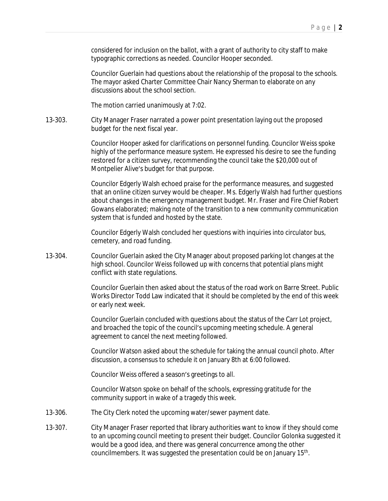considered for inclusion on the ballot, with a grant of authority to city staff to make typographic corrections as needed. Councilor Hooper seconded.

Councilor Guerlain had questions about the relationship of the proposal to the schools. The mayor asked Charter Committee Chair Nancy Sherman to elaborate on any discussions about the school section.

The motion carried unanimously at 7:02.

13-303. City Manager Fraser narrated a power point presentation laying out the proposed budget for the next fiscal year.

> Councilor Hooper asked for clarifications on personnel funding. Councilor Weiss spoke highly of the performance measure system. He expressed his desire to see the funding restored for a citizen survey, recommending the council take the \$20,000 out of Montpelier Alive's budget for that purpose.

Councilor Edgerly Walsh echoed praise for the performance measures, and suggested that an online citizen survey would be cheaper. Ms. Edgerly Walsh had further questions about changes in the emergency management budget. Mr. Fraser and Fire Chief Robert Gowans elaborated; making note of the transition to a new community communication system that is funded and hosted by the state.

Councilor Edgerly Walsh concluded her questions with inquiries into circulator bus, cemetery, and road funding.

13-304. Councilor Guerlain asked the City Manager about proposed parking lot changes at the high school. Councilor Weiss followed up with concerns that potential plans might conflict with state regulations.

> Councilor Guerlain then asked about the status of the road work on Barre Street. Public Works Director Todd Law indicated that it should be completed by the end of this week or early next week.

Councilor Guerlain concluded with questions about the status of the Carr Lot project, and broached the topic of the council's upcoming meeting schedule. A general agreement to cancel the next meeting followed.

Councilor Watson asked about the schedule for taking the annual council photo. After discussion, a consensus to schedule it on January 8th at 6:00 followed.

Councilor Weiss offered a season's greetings to all.

Councilor Watson spoke on behalf of the schools, expressing gratitude for the community support in wake of a tragedy this week.

- 13-306. The City Clerk noted the upcoming water/sewer payment date.
- 13-307. City Manager Fraser reported that library authorities want to know if they should come to an upcoming council meeting to present their budget. Councilor Golonka suggested it would be a good idea, and there was general concurrence among the other councilmembers. It was suggested the presentation could be on January 15<sup>th</sup>.